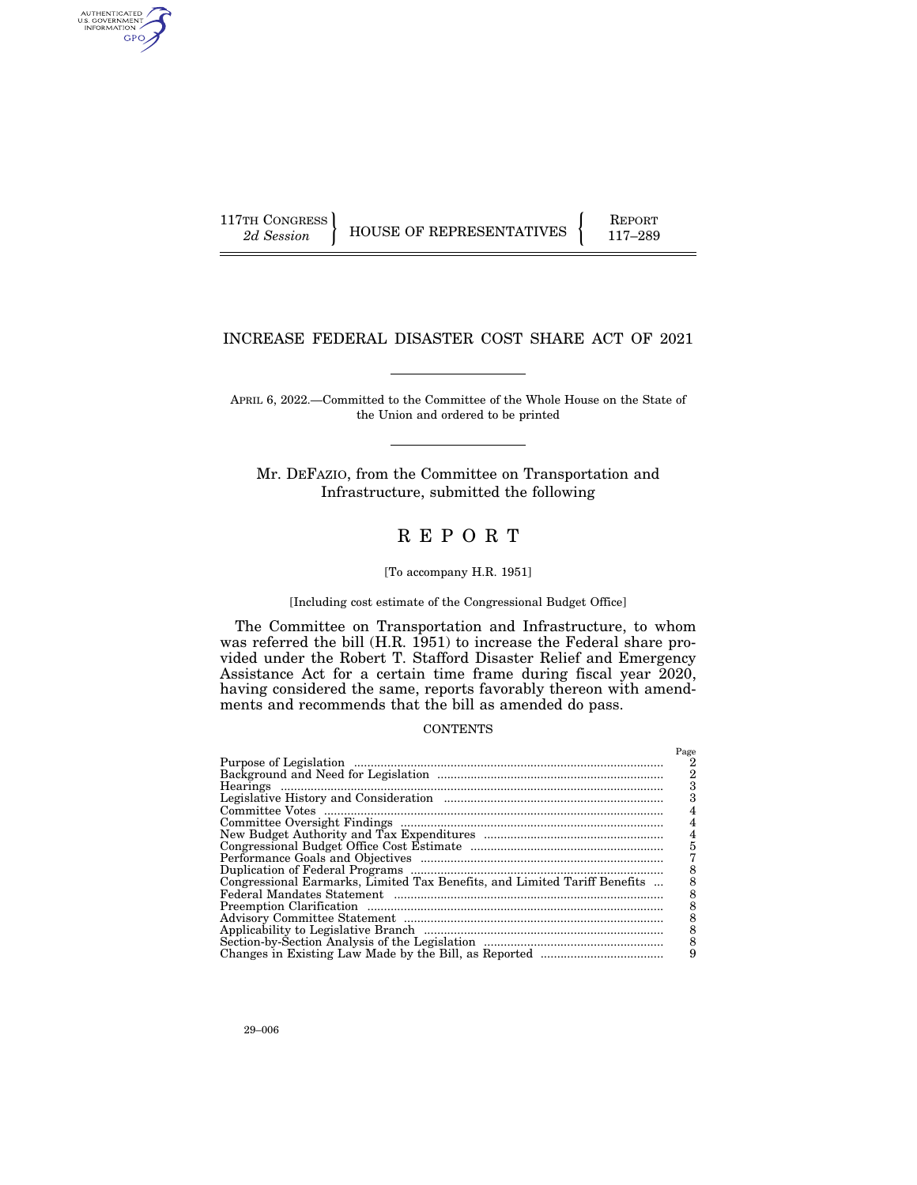AUTHENTICATED<br>U.S. GOVERNMENT<br>INFORMATION GPO

117TH CONGRESS HOUSE OF REPRESENTATIVES FEPORT 117-289

# INCREASE FEDERAL DISASTER COST SHARE ACT OF 2021

APRIL 6, 2022.—Committed to the Committee of the Whole House on the State of the Union and ordered to be printed

Mr. DEFAZIO, from the Committee on Transportation and Infrastructure, submitted the following

# R E P O R T

# [To accompany H.R. 1951]

[Including cost estimate of the Congressional Budget Office]

The Committee on Transportation and Infrastructure, to whom was referred the bill (H.R. 1951) to increase the Federal share provided under the Robert T. Stafford Disaster Relief and Emergency Assistance Act for a certain time frame during fiscal year 2020, having considered the same, reports favorably thereon with amendments and recommends that the bill as amended do pass.

### **CONTENTS**

|                                                                           | Page |
|---------------------------------------------------------------------------|------|
|                                                                           |      |
|                                                                           | 2    |
|                                                                           |      |
|                                                                           |      |
|                                                                           |      |
|                                                                           |      |
|                                                                           | 4    |
|                                                                           | 5    |
|                                                                           |      |
|                                                                           |      |
| Congressional Earmarks, Limited Tax Benefits, and Limited Tariff Benefits |      |
|                                                                           |      |
|                                                                           |      |
|                                                                           | 8    |
|                                                                           |      |
|                                                                           |      |
|                                                                           | 9    |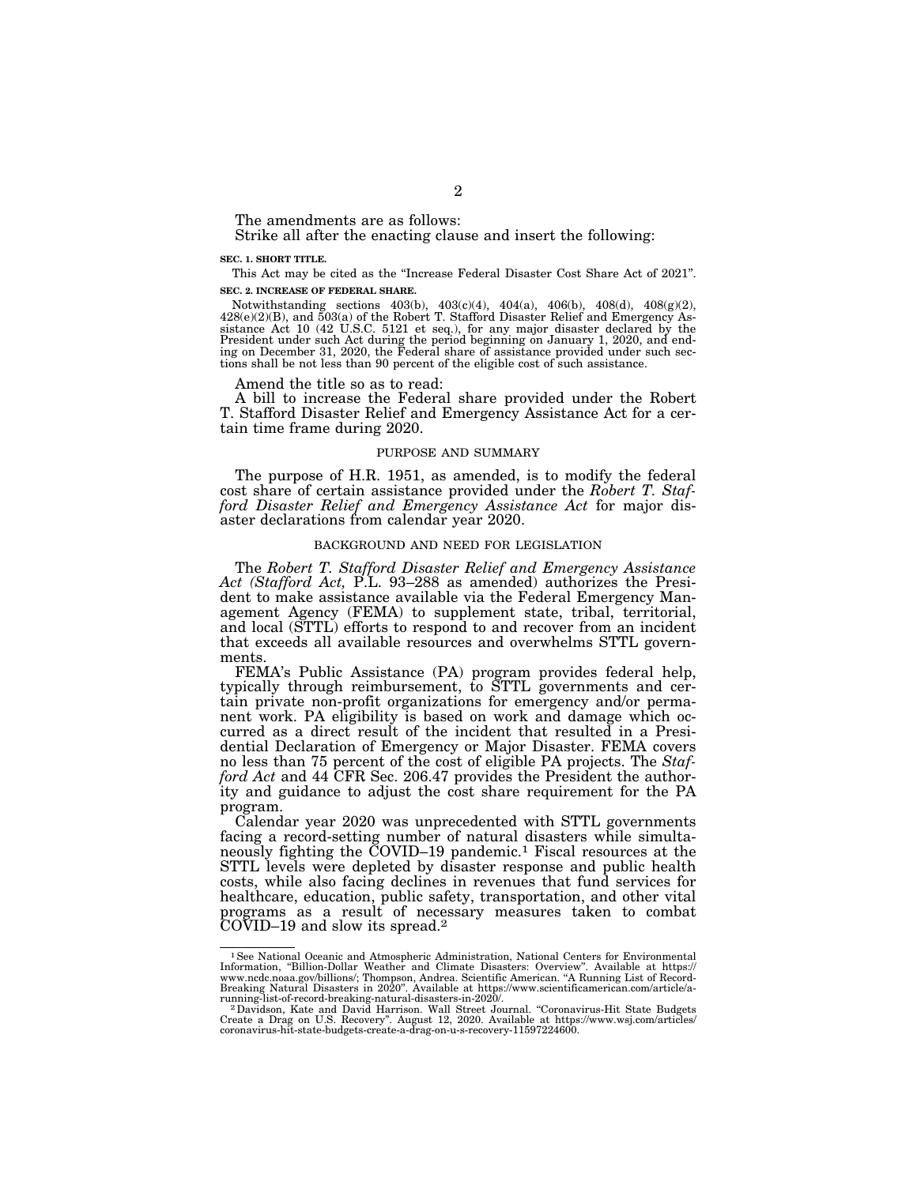The amendments are as follows:

Strike all after the enacting clause and insert the following:

### **SEC. 1. SHORT TITLE.**

This Act may be cited as the ''Increase Federal Disaster Cost Share Act of 2021''. **SEC. 2. INCREASE OF FEDERAL SHARE.** 

Notwithstanding sections  $403(b)$ ,  $403(c)(4)$ ,  $404(a)$ ,  $406(b)$ ,  $408(d)$ ,  $408(g)(2)$ , 428(e)(2)(B), and 503(a) of the Robert T. Stafford Disaster Relief and Emergency As-sistance Act 10 (42 U.S.C. 5121 et seq.), for any major disaster declared by the President under such Act during the period beginning on January 1, 2020, and end-ing on December 31, 2020, the Federal share of assistance provided under such sections shall be not less than 90 percent of the eligible cost of such assistance.

Amend the title so as to read:

A bill to increase the Federal share provided under the Robert T. Stafford Disaster Relief and Emergency Assistance Act for a certain time frame during 2020.

# PURPOSE AND SUMMARY

The purpose of H.R. 1951, as amended, is to modify the federal cost share of certain assistance provided under the *Robert T. Stafford Disaster Relief and Emergency Assistance Act* for major disaster declarations from calendar year 2020.

# BACKGROUND AND NEED FOR LEGISLATION

The *Robert T. Stafford Disaster Relief and Emergency Assistance Act (Stafford Act,* P.L. 93–288 as amended) authorizes the President to make assistance available via the Federal Emergency Management Agency (FEMA) to supplement state, tribal, territorial, and local (STTL) efforts to respond to and recover from an incident that exceeds all available resources and overwhelms STTL governments.

FEMA's Public Assistance (PA) program provides federal help, typically through reimbursement, to STTL governments and certain private non-profit organizations for emergency and/or permanent work. PA eligibility is based on work and damage which occurred as a direct result of the incident that resulted in a Presidential Declaration of Emergency or Major Disaster. FEMA covers no less than 75 percent of the cost of eligible PA projects. The *Stafford Act* and 44 CFR Sec. 206.47 provides the President the authority and guidance to adjust the cost share requirement for the PA program.

Calendar year 2020 was unprecedented with STTL governments facing a record-setting number of natural disasters while simultaneously fighting the COVID–19 pandemic.1 Fiscal resources at the STTL levels were depleted by disaster response and public health costs, while also facing declines in revenues that fund services for healthcare, education, public safety, transportation, and other vital programs as a result of necessary measures taken to combat COVID–19 and slow its spread.2

<sup>&</sup>lt;sup>1</sup> See National Oceanic and Atmospheric Administration, National Centers for Environmental Information, "Billion-Dollar Weather and Climate Disasters: Overview". Available at https:// www.ncdc.noaa.gov/billions/; Thompson, Andrea. Scientific American. ''A Running List of Record-Breaking Natural Disasters in 2020''. Available at https://www.scientificamerican.com/article/a-

running-list-of-record-breaking-natural-disasters-in-2020/.<br>^ 2 Davidson, Kate and David Harrison. Wall Street Journal. "Coronavirus-Hit State Budgets"<br>Create a Drag on U.S. Recovery". August 12, 2020. Available at https:/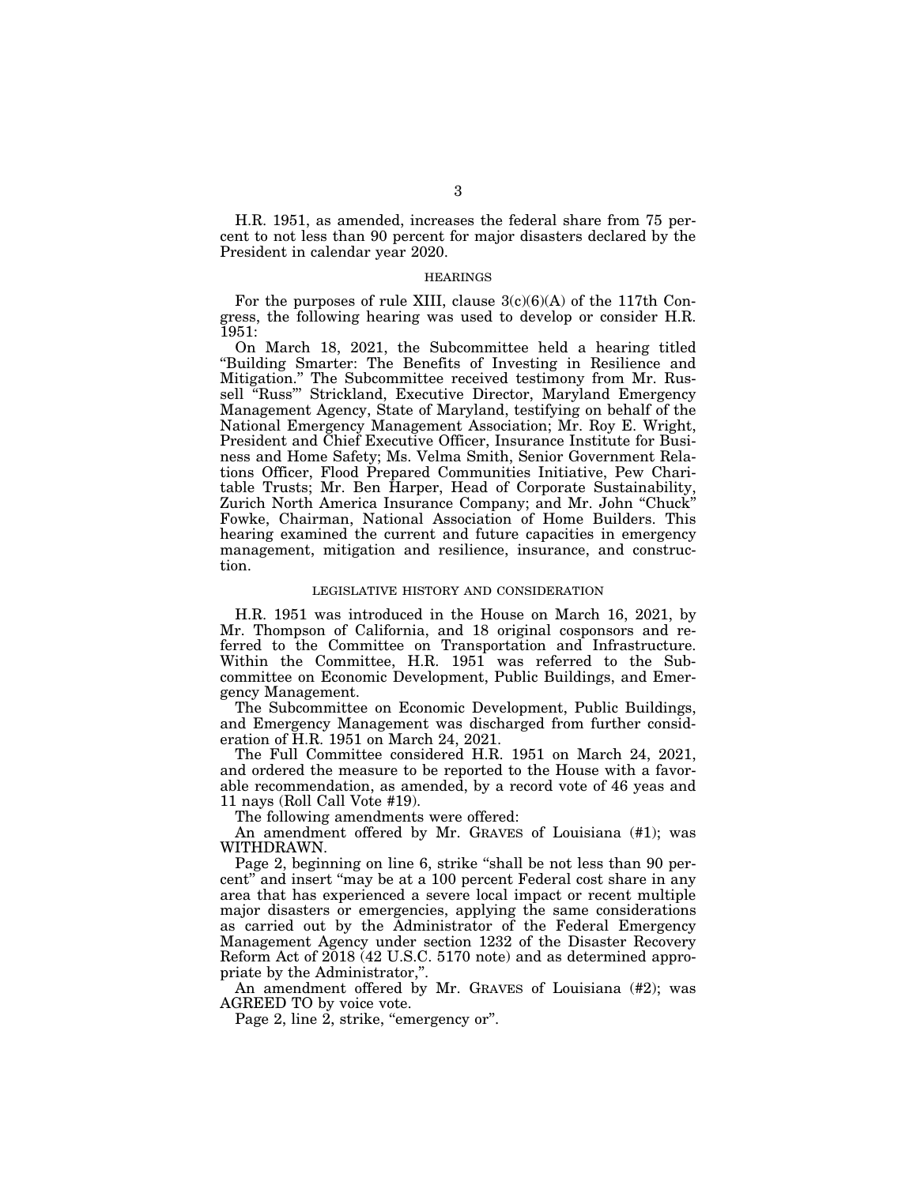H.R. 1951, as amended, increases the federal share from 75 percent to not less than 90 percent for major disasters declared by the President in calendar year 2020.

# **HEARINGS**

For the purposes of rule XIII, clause  $3(c)(6)(A)$  of the 117th Congress, the following hearing was used to develop or consider H.R. 1951:

On March 18, 2021, the Subcommittee held a hearing titled ''Building Smarter: The Benefits of Investing in Resilience and Mitigation.'' The Subcommittee received testimony from Mr. Russell ''Russ''' Strickland, Executive Director, Maryland Emergency Management Agency, State of Maryland, testifying on behalf of the National Emergency Management Association; Mr. Roy E. Wright, President and Chief Executive Officer, Insurance Institute for Business and Home Safety; Ms. Velma Smith, Senior Government Relations Officer, Flood Prepared Communities Initiative, Pew Charitable Trusts; Mr. Ben Harper, Head of Corporate Sustainability, Zurich North America Insurance Company; and Mr. John "Chuck" Fowke, Chairman, National Association of Home Builders. This hearing examined the current and future capacities in emergency management, mitigation and resilience, insurance, and construction.

# LEGISLATIVE HISTORY AND CONSIDERATION

H.R. 1951 was introduced in the House on March 16, 2021, by Mr. Thompson of California, and 18 original cosponsors and referred to the Committee on Transportation and Infrastructure. Within the Committee, H.R. 1951 was referred to the Subcommittee on Economic Development, Public Buildings, and Emergency Management.

The Subcommittee on Economic Development, Public Buildings, and Emergency Management was discharged from further consideration of H.R. 1951 on March 24, 2021.

The Full Committee considered H.R. 1951 on March 24, 2021, and ordered the measure to be reported to the House with a favorable recommendation, as amended, by a record vote of 46 yeas and 11 nays (Roll Call Vote #19).

The following amendments were offered:

An amendment offered by Mr. GRAVES of Louisiana (#1); was WITHDRAWN.

Page 2, beginning on line 6, strike "shall be not less than 90 percent'' and insert ''may be at a 100 percent Federal cost share in any area that has experienced a severe local impact or recent multiple major disasters or emergencies, applying the same considerations as carried out by the Administrator of the Federal Emergency Management Agency under section 1232 of the Disaster Recovery Reform Act of 2018 (42 U.S.C. 5170 note) and as determined appropriate by the Administrator,''.

An amendment offered by Mr. GRAVES of Louisiana (#2); was AGREED TO by voice vote.

Page 2, line 2, strike, "emergency or".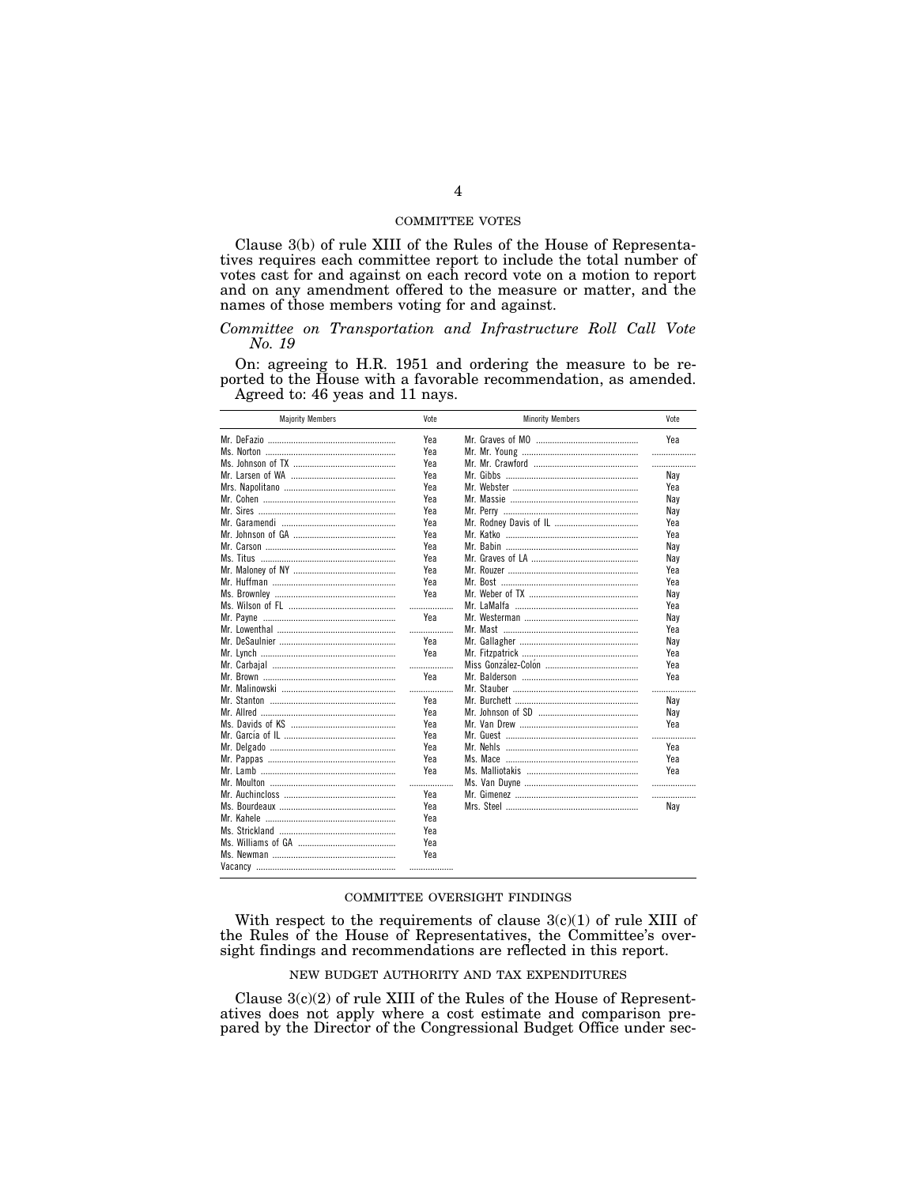# COMMITTEE VOTES

Clause 3(b) of rule XIII of the Rules of the House of Representatives requires each committee report to include the total number of votes cast for and against on each record vote on a motion to report and on any amendment offered to the measure or matter, and the names of those members voting for and against.

# *Committee on Transportation and Infrastructure Roll Call Vote No. 19*

On: agreeing to H.R. 1951 and ordering the measure to be reported to the House with a favorable recommendation, as amended. Agreed to: 46 yeas and 11 nays.

| <b>Majority Members</b> | Vote | <b>Minority Members</b> | Vote |
|-------------------------|------|-------------------------|------|
|                         | Yea  |                         | Yea  |
|                         | Yea  |                         | .    |
|                         | Yea  |                         | .    |
|                         | Yea  |                         | Nay  |
|                         | Yea  |                         | Yea  |
|                         | Yea  |                         | Nay  |
|                         | Yea  |                         | Nav  |
|                         | Yea  |                         | Yea  |
|                         | Yea  |                         | Yea  |
|                         | Yea  |                         | Nay  |
|                         | Yea  |                         | Nav  |
|                         | Yea  |                         | Yea  |
|                         | Yea  |                         | Yea  |
|                         | Yea  |                         | Nay  |
|                         | .    |                         | Yea  |
|                         | Yea  |                         | Nav  |
|                         | .    |                         | Yea  |
|                         | Yea  |                         | Nay  |
|                         | Yea  |                         | Yea  |
|                         | .    |                         | Yea  |
|                         | Yea  |                         | Yea  |
|                         | .    |                         | .    |
|                         | Yea  |                         | Nav  |
|                         | Yea  |                         | Nay  |
|                         | Yea  |                         | Yea  |
|                         | Yea  |                         |      |
|                         | Yea  |                         | Yea  |
|                         | Yea  |                         | Yea  |
|                         | Yea  |                         | Yea  |
|                         | .    |                         | .    |
|                         | Yea  |                         | .    |
|                         | Yea  |                         | Nay  |
|                         | Yea  |                         |      |
|                         | Yea  |                         |      |
|                         | Yea  |                         |      |
|                         | Yea  |                         |      |
|                         | .    |                         |      |
|                         |      |                         |      |

# COMMITTEE OVERSIGHT FINDINGS

With respect to the requirements of clause 3(c)(1) of rule XIII of the Rules of the House of Representatives, the Committee's oversight findings and recommendations are reflected in this report.

# NEW BUDGET AUTHORITY AND TAX EXPENDITURES

Clause  $3(c)(2)$  of rule XIII of the Rules of the House of Representatives does not apply where a cost estimate and comparison prepared by the Director of the Congressional Budget Office under sec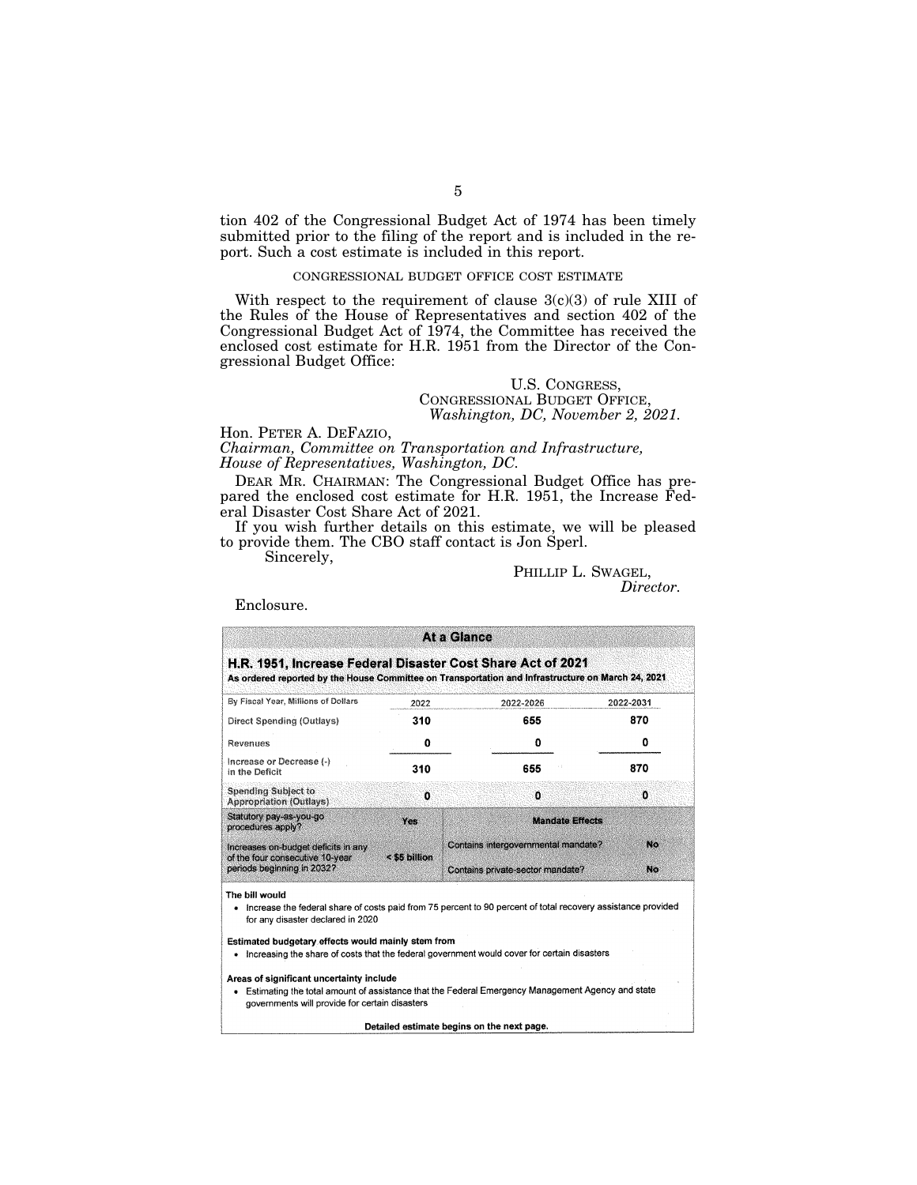tion 402 of the Congressional Budget Act of 1974 has been timely submitted prior to the filing of the report and is included in the report. Such a cost estimate is included in this report.

# CONGRESSIONAL BUDGET OFFICE COST ESTIMATE

With respect to the requirement of clause  $3(c)(3)$  of rule XIII of the Rules of the House of Representatives and section 402 of the Congressional Budget Act of 1974, the Committee has received the enclosed cost estimate for H.R. 1951 from the Director of the Congressional Budget Office:

# U.S. CONGRESS, CONGRESSIONAL BUDGET OFFICE, *Washington, DC, November 2, 2021.*

# Hon. PETER A. DEFAZIO, *Chairman, Committee on Transportation and Infrastructure, House of Representatives, Washington, DC.*

DEAR MR. CHAIRMAN: The Congressional Budget Office has prepared the enclosed cost estimate for H.R. 1951, the Increase Federal Disaster Cost Share Act of 2021.

If you wish further details on this estimate, we will be pleased to provide them. The CBO staff contact is Jon Sperl.

Sincerely,

# PHILLIP L. SWAGEL,<br>*Director.*

Enclosure.

| H.R. 1951, Increase Federal Disaster Cost Share Act of 2021<br>As ordered reported by the House Committee on Transportation and Infrastructure on March 24, 2021<br>By Fiscal Year, Millions of Dollars<br>2022-2031<br>2022-2026<br>2022<br>870<br>310<br>655<br>Direct Spending (Outlays)<br>0<br>0<br>0<br>Revenues<br>Increase or Decrease (-)<br>870<br>310<br>655<br>in the Deficit<br><b>Spending Subject to</b><br>$\mathbf{0}$<br>o<br>٥<br>Appropriation (Outlays)<br>Statutory pay-as-you-go<br><b>Mandate Effects</b><br>Yes<br>procedures apply?<br>No<br>Contains intergovernmental mandate?<br>Increases on-budget deficits in any<br>< \$5 billion<br>of the four consecutive 10-year<br>periods beginning in 2032?<br>No<br>Contains private-sector mandate?<br>Increase the federal share of costs paid from 75 percent to 90 percent of total recovery assistance provided<br>٠<br>for any disaster declared in 2020 |                                                                                                 | At a Glance                                                                                      |  |
|-----------------------------------------------------------------------------------------------------------------------------------------------------------------------------------------------------------------------------------------------------------------------------------------------------------------------------------------------------------------------------------------------------------------------------------------------------------------------------------------------------------------------------------------------------------------------------------------------------------------------------------------------------------------------------------------------------------------------------------------------------------------------------------------------------------------------------------------------------------------------------------------------------------------------------------------|-------------------------------------------------------------------------------------------------|--------------------------------------------------------------------------------------------------|--|
|                                                                                                                                                                                                                                                                                                                                                                                                                                                                                                                                                                                                                                                                                                                                                                                                                                                                                                                                         |                                                                                                 |                                                                                                  |  |
|                                                                                                                                                                                                                                                                                                                                                                                                                                                                                                                                                                                                                                                                                                                                                                                                                                                                                                                                         |                                                                                                 |                                                                                                  |  |
|                                                                                                                                                                                                                                                                                                                                                                                                                                                                                                                                                                                                                                                                                                                                                                                                                                                                                                                                         |                                                                                                 |                                                                                                  |  |
|                                                                                                                                                                                                                                                                                                                                                                                                                                                                                                                                                                                                                                                                                                                                                                                                                                                                                                                                         |                                                                                                 |                                                                                                  |  |
|                                                                                                                                                                                                                                                                                                                                                                                                                                                                                                                                                                                                                                                                                                                                                                                                                                                                                                                                         |                                                                                                 |                                                                                                  |  |
|                                                                                                                                                                                                                                                                                                                                                                                                                                                                                                                                                                                                                                                                                                                                                                                                                                                                                                                                         |                                                                                                 |                                                                                                  |  |
|                                                                                                                                                                                                                                                                                                                                                                                                                                                                                                                                                                                                                                                                                                                                                                                                                                                                                                                                         |                                                                                                 |                                                                                                  |  |
|                                                                                                                                                                                                                                                                                                                                                                                                                                                                                                                                                                                                                                                                                                                                                                                                                                                                                                                                         |                                                                                                 |                                                                                                  |  |
|                                                                                                                                                                                                                                                                                                                                                                                                                                                                                                                                                                                                                                                                                                                                                                                                                                                                                                                                         |                                                                                                 |                                                                                                  |  |
| Estimated budgetary effects would mainly stem from<br>Increasing the share of costs that the federal government would cover for certain disasters<br>٠                                                                                                                                                                                                                                                                                                                                                                                                                                                                                                                                                                                                                                                                                                                                                                                  | The bill would                                                                                  |                                                                                                  |  |
|                                                                                                                                                                                                                                                                                                                                                                                                                                                                                                                                                                                                                                                                                                                                                                                                                                                                                                                                         | Areas of significant uncertainty include<br>٠<br>governments will provide for certain disasters | Estimating the total amount of assistance that the Federal Emergency Management Agency and state |  |

**Detailed estimate begins on the next page.**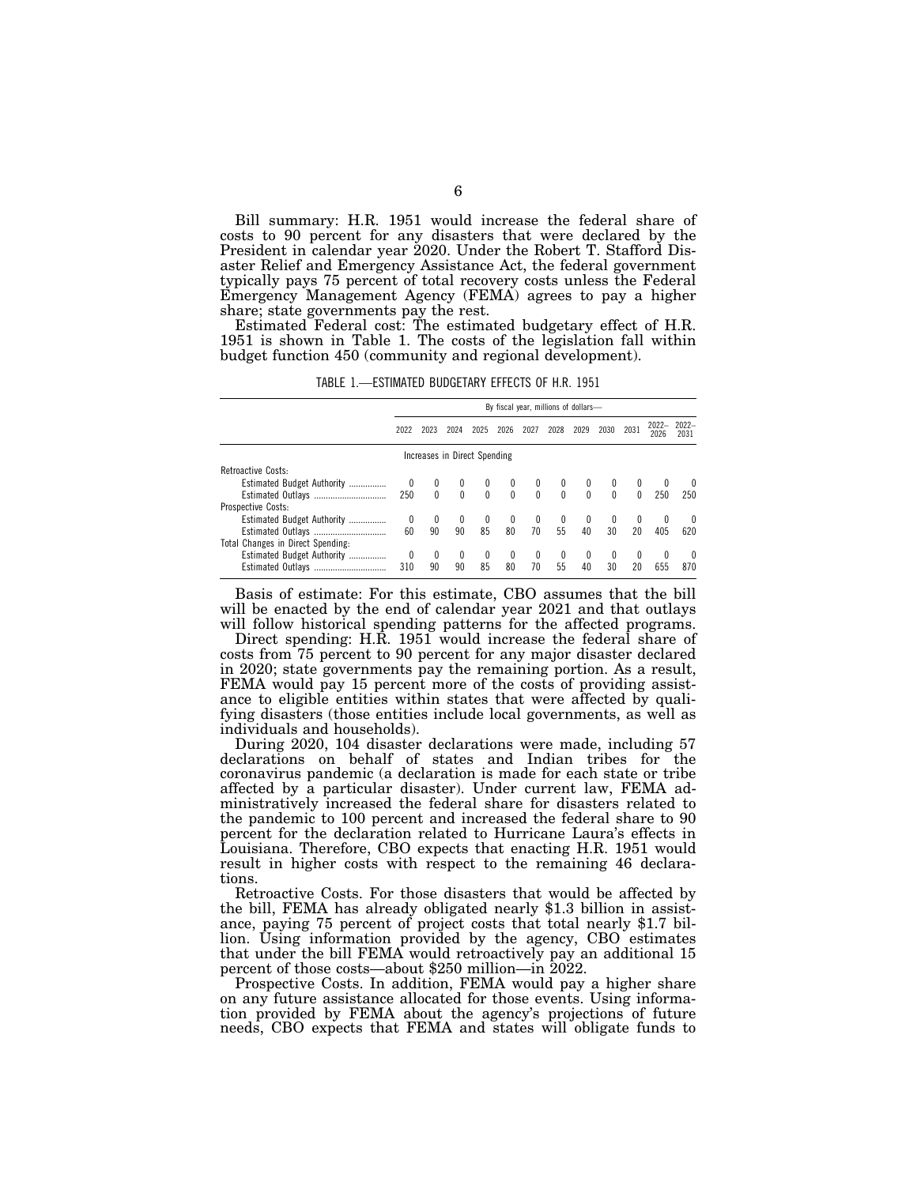Bill summary: H.R. 1951 would increase the federal share of costs to 90 percent for any disasters that were declared by the President in calendar year 2020. Under the Robert T. Stafford Disaster Relief and Emergency Assistance Act, the federal government typically pays 75 percent of total recovery costs unless the Federal Emergency Management Agency (FEMA) agrees to pay a higher share; state governments pay the rest.

Estimated Federal cost: The estimated budgetary effect of H.R. 1951 is shown in Table 1. The costs of the legislation fall within budget function 450 (community and regional development).

TABLE 1.—ESTIMATED BUDGETARY EFFECTS OF H.R. 1951

|                                   |          |              |                  |                              |              | By fiscal year, millions of dollars- |                |                |                    |                    |          |                 |
|-----------------------------------|----------|--------------|------------------|------------------------------|--------------|--------------------------------------|----------------|----------------|--------------------|--------------------|----------|-----------------|
|                                   | 2022     | 2023         | 2024             | 2025                         | 2026         | 2027                                 | 2028           | 2029           | 2030               | 2031               | $2022 -$ | $2022-$<br>2031 |
|                                   |          |              |                  | Increases in Direct Spending |              |                                      |                |                |                    |                    |          |                 |
| Retroactive Costs:                |          |              |                  |                              |              |                                      |                |                |                    |                    |          |                 |
| Estimated Budget Authority        | $\bf{0}$ | $\mathbf{0}$ | $\boldsymbol{0}$ | $\mathbf{0}$                 | 0            | $\bf{0}$                             |                |                | $^{0}$             |                    |          |                 |
|                                   | 250      | $\mathbf{0}$ |                  | $0\qquad 0$                  |              | $\begin{matrix} 0 & 0 \end{matrix}$  | $\overline{0}$ | $\overline{0}$ | $\Omega$           | $\Omega$           | 250      | 250             |
| Prospective Costs:                |          |              |                  |                              |              |                                      |                |                |                    |                    |          |                 |
| Estimated Budget Authority        | 0        | 0            | 0                | 0                            | $\bf{0}$     | $\bf{0}$                             | 0              | $^{0}$         | $\left( 0 \right)$ | $\left( 0 \right)$ |          | $\theta$        |
|                                   | 60       | 90           | 90               | 85                           | 80           | 70                                   | 55             | 40             | 30                 | 20                 | 405      | 620             |
| Total Changes in Direct Spending: |          |              |                  |                              |              |                                      |                |                |                    |                    |          |                 |
| Estimated Budget Authority        | 0        | 0            | $\mathbf{0}$     | $\mathbf{0}$                 | $\mathbf{0}$ | $\mathbf{0}$                         | $\bf{0}$       | $\mathbf{0}$   | $\mathbf{0}$       | 0                  |          | 0               |
| Estimated Outlays                 | 310      | 90           | 90               | 85                           | 80           | 70                                   | 55             | 40             | 30                 | 20                 | 655      | 870             |

Basis of estimate: For this estimate, CBO assumes that the bill will be enacted by the end of calendar year 2021 and that outlays will follow historical spending patterns for the affected programs.

Direct spending: H.R. 1951 would increase the federal share of costs from 75 percent to 90 percent for any major disaster declared in 2020; state governments pay the remaining portion. As a result, FEMA would pay 15 percent more of the costs of providing assistance to eligible entities within states that were affected by qualifying disasters (those entities include local governments, as well as individuals and households).

During 2020, 104 disaster declarations were made, including 57 declarations on behalf of states and Indian tribes for the coronavirus pandemic (a declaration is made for each state or tribe affected by a particular disaster). Under current law, FEMA administratively increased the federal share for disasters related to the pandemic to 100 percent and increased the federal share to 90 percent for the declaration related to Hurricane Laura's effects in Louisiana. Therefore, CBO expects that enacting H.R. 1951 would result in higher costs with respect to the remaining 46 declarations.

Retroactive Costs. For those disasters that would be affected by the bill, FEMA has already obligated nearly \$1.3 billion in assistance, paying 75 percent of project costs that total nearly \$1.7 billion. Using information provided by the agency, CBO estimates that under the bill FEMA would retroactively pay an additional 15 percent of those costs—about \$250 million—in 2022.

Prospective Costs. In addition, FEMA would pay a higher share on any future assistance allocated for those events. Using information provided by FEMA about the agency's projections of future needs, CBO expects that FEMA and states will obligate funds to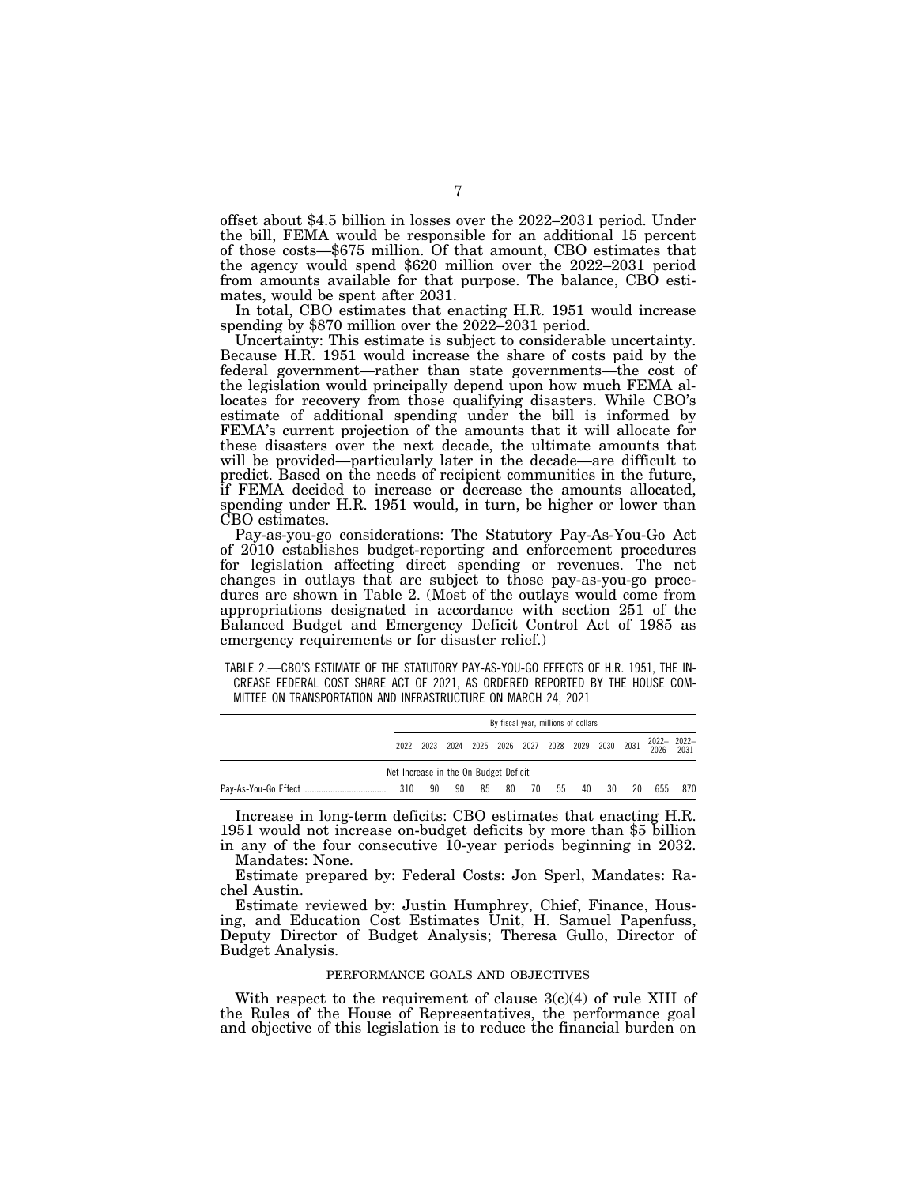offset about \$4.5 billion in losses over the 2022–2031 period. Under the bill, FEMA would be responsible for an additional 15 percent of those costs—\$675 million. Of that amount, CBO estimates that the agency would spend \$620 million over the 2022–2031 period from amounts available for that purpose. The balance, CBO estimates, would be spent after 2031.

In total, CBO estimates that enacting H.R. 1951 would increase spending by \$870 million over the 2022–2031 period.

Uncertainty: This estimate is subject to considerable uncertainty. Because H.R. 1951 would increase the share of costs paid by the federal government—rather than state governments—the cost of the legislation would principally depend upon how much FEMA allocates for recovery from those qualifying disasters. While CBO's estimate of additional spending under the bill is informed by FEMA's current projection of the amounts that it will allocate for these disasters over the next decade, the ultimate amounts that will be provided—particularly later in the decade—are difficult to predict. Based on the needs of recipient communities in the future, if FEMA decided to increase or decrease the amounts allocated, spending under H.R. 1951 would, in turn, be higher or lower than CBO estimates.

Pay-as-you-go considerations: The Statutory Pay-As-You-Go Act of 2010 establishes budget-reporting and enforcement procedures for legislation affecting direct spending or revenues. The net changes in outlays that are subject to those pay-as-you-go procedures are shown in Table 2. (Most of the outlays would come from appropriations designated in accordance with section 251 of the Balanced Budget and Emergency Deficit Control Act of 1985 as emergency requirements or for disaster relief.)

TABLE 2.—CBO'S ESTIMATE OF THE STATUTORY PAY-AS-YOU-GO EFFECTS OF H.R. 1951, THE IN-CREASE FEDERAL COST SHARE ACT OF 2021, AS ORDERED REPORTED BY THE HOUSE COM-MITTEE ON TRANSPORTATION AND INFRASTRUCTURE ON MARCH 24, 2021

|                                       | By fiscal year, millions of dollars |    |     |    |    |    |     |  |                                              |     |                |     |
|---------------------------------------|-------------------------------------|----|-----|----|----|----|-----|--|----------------------------------------------|-----|----------------|-----|
|                                       | 2022                                |    |     |    |    |    |     |  | 2023 2024 2025 2026 2027 2028 2029 2030 2031 |     | 2022-2022-2026 |     |
| Net Increase in the On-Budget Deficit |                                     |    |     |    |    |    |     |  |                                              |     |                |     |
|                                       | 310                                 | 90 | -90 | 85 | 80 | 70 | -55 |  | 40 30                                        | -20 | 655            | 870 |

Increase in long-term deficits: CBO estimates that enacting H.R. 1951 would not increase on-budget deficits by more than \$5 billion in any of the four consecutive 10-year periods beginning in 2032. Mandates: None.

Estimate prepared by: Federal Costs: Jon Sperl, Mandates: Rachel Austin.

Estimate reviewed by: Justin Humphrey, Chief, Finance, Housing, and Education Cost Estimates Unit, H. Samuel Papenfuss, Deputy Director of Budget Analysis; Theresa Gullo, Director of Budget Analysis.

# PERFORMANCE GOALS AND OBJECTIVES

With respect to the requirement of clause  $3(c)(4)$  of rule XIII of the Rules of the House of Representatives, the performance goal and objective of this legislation is to reduce the financial burden on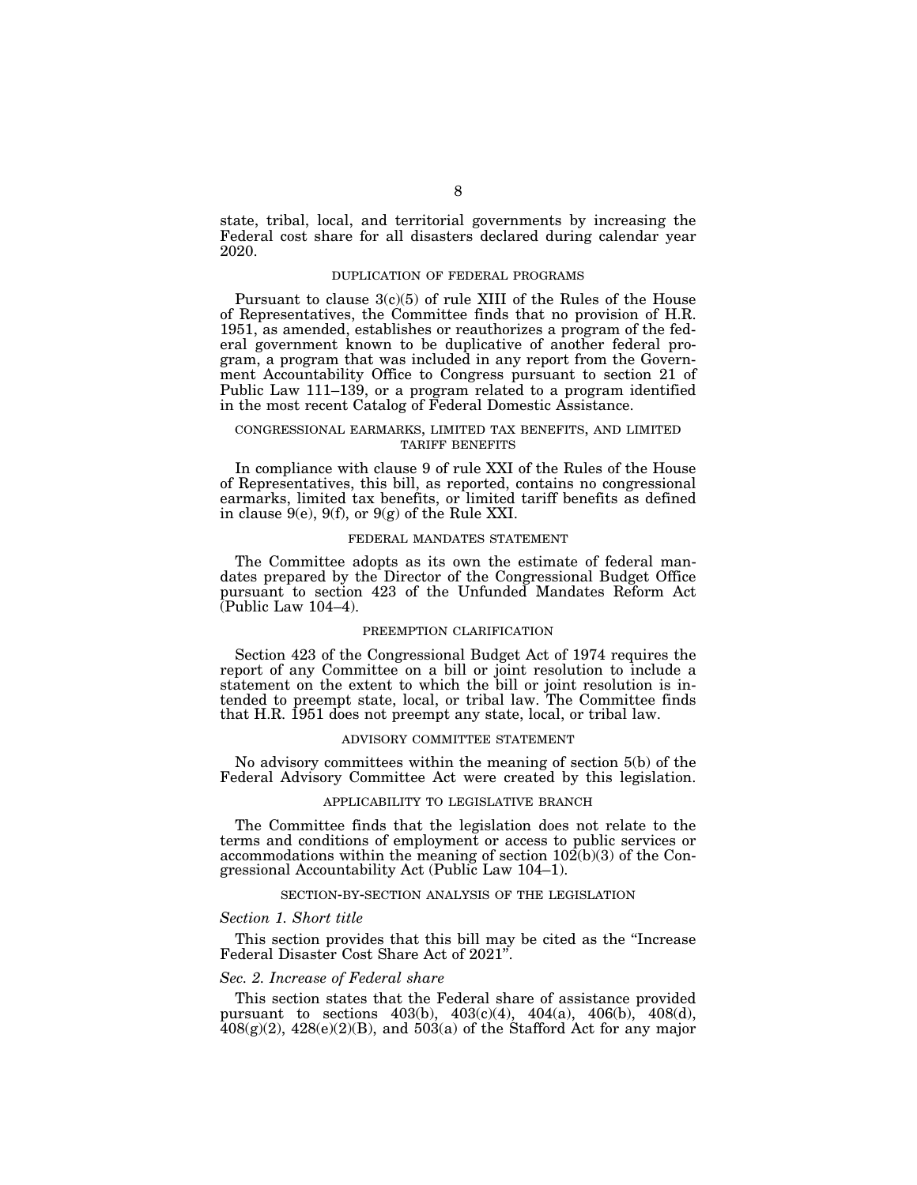state, tribal, local, and territorial governments by increasing the Federal cost share for all disasters declared during calendar year 2020.

# DUPLICATION OF FEDERAL PROGRAMS

Pursuant to clause  $3(c)(5)$  of rule XIII of the Rules of the House of Representatives, the Committee finds that no provision of H.R. 1951, as amended, establishes or reauthorizes a program of the federal government known to be duplicative of another federal program, a program that was included in any report from the Government Accountability Office to Congress pursuant to section 21 of Public Law 111–139, or a program related to a program identified in the most recent Catalog of Federal Domestic Assistance.

# CONGRESSIONAL EARMARKS, LIMITED TAX BENEFITS, AND LIMITED TARIFF BENEFITS

In compliance with clause 9 of rule XXI of the Rules of the House of Representatives, this bill, as reported, contains no congressional earmarks, limited tax benefits, or limited tariff benefits as defined in clause  $9(e)$ ,  $9(f)$ , or  $9(g)$  of the Rule XXI.

# FEDERAL MANDATES STATEMENT

The Committee adopts as its own the estimate of federal mandates prepared by the Director of the Congressional Budget Office pursuant to section 423 of the Unfunded Mandates Reform Act  $(Public Law 104-4)$ .

# PREEMPTION CLARIFICATION

Section 423 of the Congressional Budget Act of 1974 requires the report of any Committee on a bill or joint resolution to include a statement on the extent to which the bill or joint resolution is intended to preempt state, local, or tribal law. The Committee finds that H.R. 1951 does not preempt any state, local, or tribal law.

# ADVISORY COMMITTEE STATEMENT

No advisory committees within the meaning of section 5(b) of the Federal Advisory Committee Act were created by this legislation.

# APPLICABILITY TO LEGISLATIVE BRANCH

The Committee finds that the legislation does not relate to the terms and conditions of employment or access to public services or accommodations within the meaning of section  $10\overline{2}(b)(3)$  of the Congressional Accountability Act (Public Law 104–1).

### SECTION-BY-SECTION ANALYSIS OF THE LEGISLATION

### *Section 1. Short title*

This section provides that this bill may be cited as the ''Increase Federal Disaster Cost Share Act of 2021''.

# *Sec. 2. Increase of Federal share*

This section states that the Federal share of assistance provided pursuant to sections  $403(b)$ ,  $403(c)(4)$ ,  $404(a)$ ,  $406(b)$ ,  $408(d)$ ,  $408(g)(2)$ ,  $428(e)(2)(B)$ , and  $503(a)$  of the Stafford Act for any major